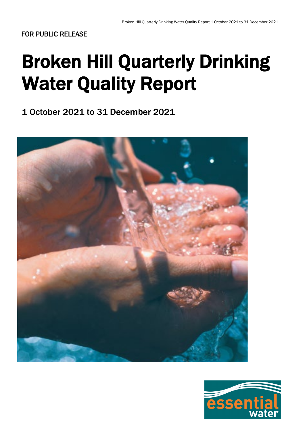# Broken Hill Quarterly Drinking Water Quality Report

1 October 2021 to 31 December 2021



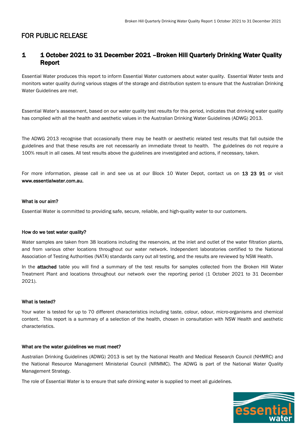### 1 1 October 2021 to 31 December 2021 –Broken Hill Quarterly Drinking Water Quality Report

Essential Water produces this report to inform Essential Water customers about water quality. Essential Water tests and monitors water quality during various stages of the storage and distribution system to ensure that the Australian Drinking Water Guidelines are met.

Essential Water's assessment, based on our water quality test results for this period, indicates that drinking water quality has complied with all the health and aesthetic values in the Australian Drinking Water Guidelines (ADWG) 2013.

The ADWG 2013 recognise that occasionally there may be health or aesthetic related test results that fall outside the guidelines and that these results are not necessarily an immediate threat to health. The guidelines do not require a 100% result in all cases. All test results above the guidelines are investigated and actions, if necessary, taken.

For more information, please call in and see us at our Block 10 Water Depot, contact us on 13 23 91 or visit www.essentialwater.com.au.

#### What is our aim?

Essential Water is committed to providing safe, secure, reliable, and high-quality water to our customers.

#### How do we test water quality?

Water samples are taken from 38 locations including the reservoirs, at the inlet and outlet of the water filtration plants, and from various other locations throughout our water network. Independent laboratories certified to the National Association of Testing Authorities (NATA) standards carry out all testing, and the results are reviewed by NSW Health.

In the **attached** table you will find a summary of the test results for samples collected from the Broken Hill Water Treatment Plant and locations throughout our network over the reporting period (1 October 2021 to 31 December 2021).

#### What is tested?

Your water is tested for up to 70 different characteristics including taste, colour, odour, micro-organisms and chemical content. This report is a summary of a selection of the health, chosen in consultation with NSW Health and aesthetic characteristics.

#### What are the water guidelines we must meet?

Australian Drinking Guidelines (ADWG) 2013 is set by the National Health and Medical Research Council (NHMRC) and the National Resource Management Ministerial Council (NRMMC). The ADWG is part of the National Water Quality Management Strategy.

The role of Essential Water is to ensure that safe drinking water is supplied to meet all guidelines.

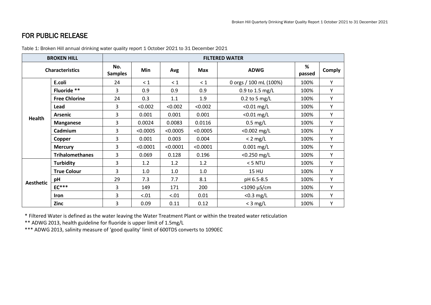| <b>BROKEN HILL</b>     |                        | <b>FILTERED WATER</b> |          |          |            |                        |             |               |
|------------------------|------------------------|-----------------------|----------|----------|------------|------------------------|-------------|---------------|
| <b>Characteristics</b> |                        | No.<br><b>Samples</b> | Min      | Avg      | <b>Max</b> | <b>ADWG</b>            | %<br>passed | <b>Comply</b> |
| <b>Health</b>          | E.coli                 | 24                    | $\leq 1$ | $\leq 1$ | $\leq 1$   | 0 orgs / 100 mL (100%) | 100%        | Υ             |
|                        | Fluoride **            | 3                     | 0.9      | 0.9      | 0.9        | 0.9 to 1.5 mg/L        | 100%        | Y             |
|                        | <b>Free Chlorine</b>   | 24                    | 0.3      | 1.1      | 1.9        | $0.2$ to 5 mg/L        | 100%        | Y             |
|                        | Lead                   | 3                     | < 0.002  | < 0.002  | < 0.002    | $< 0.01$ mg/L          | 100%        | Υ             |
|                        | <b>Arsenic</b>         | 3                     | 0.001    | 0.001    | 0.001      | $<$ 0.01 mg/L          | 100%        | Υ             |
|                        | <b>Manganese</b>       | 3                     | 0.0024   | 0.0083   | 0.0116     | $0.5$ mg/L             | 100%        | Y             |
|                        | Cadmium                | 3                     | < 0.0005 | < 0.0005 | < 0.0005   | $< 0.002$ mg/L         | 100%        | Υ             |
|                        | Copper                 | 3                     | 0.001    | 0.003    | 0.004      | $< 2$ mg/L             | 100%        | Υ             |
|                        | <b>Mercury</b>         | 3                     | < 0.0001 | < 0.0001 | < 0.0001   | $0.001$ mg/L           | 100%        | Υ             |
|                        | <b>Trihalomethanes</b> | 3                     | 0.069    | 0.128    | 0.196      | $<$ 0.250 mg/L         | 100%        | Υ             |
| <b>Aesthetic</b>       | <b>Turbidity</b>       | 3                     | 1.2      | 1.2      | 1.2        | $<$ 5 NTU              | 100%        | Y             |
|                        | <b>True Colour</b>     | 3                     | 1.0      | 1.0      | 1.0        | <b>15 HU</b>           | 100%        | Υ             |
|                        | pH                     | 29                    | 7.3      | 7.7      | 8.1        | pH 6.5-8.5             | 100%        | Υ             |
|                        | $EC***$                | 3                     | 149      | 171      | 200        | $<$ 1090 $\mu$ S/cm    | 100%        | Y             |
|                        | Iron                   | 3                     | < .01    | < .01    | 0.01       | $<$ 0.3 mg/L           | 100%        | Υ             |
|                        | Zinc                   | 3                     | 0.09     | 0.11     | 0.12       | $<$ 3 mg/L             | 100%        | Υ             |

Table 1: Broken Hill annual drinking water quality report 1 October 2021 to 31 December 2021

\* Filtered Water is defined as the water leaving the Water Treatment Plant or within the treated water reticulation

\*\* ADWG 2013, health guideline for fluoride is upper limit of 1.5mg/L

\*\*\* ADWG 2013, salinity measure of 'good quality' limit of 600TDS converts to 1090EC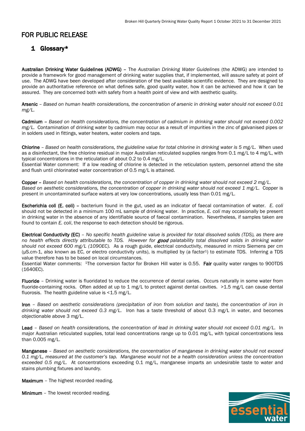## 1 Glossary\*

Australian Drinking Water Guidelines (ADWG) – The *Australian Drinking Water Guidelines* (the ADWG) are intended to provide a framework for good management of drinking water supplies that, if implemented, will assure safety at point of use. The ADWG have been developed after consideration of the best available scientific evidence. They are designed to provide an authoritative reference on what defines safe, good quality water, how it can be achieved and how it can be assured. They are concerned both with safety from a health point of view and with aesthetic quality.

Arsenic – *Based on human health considerations, the concentration of arsenic in drinking water should not exceed 0.01 mg/L.*

Cadmium – *Based on health considerations, the concentration of cadmium in drinking water should not exceed 0.002 mg/L.* Contamination of drinking water by cadmium may occur as a result of impurities in the zinc of galvanised pipes or in solders used in fittings, water heaters, water coolers and taps.

Chlorine – *Based on health considerations, the guideline value for total chlorine in drinking water is 5 mg/L.* When used as a disinfectant, the free chlorine residual in major Australian reticulated supplies ranges from 0.1 mg/L to 4 mg/L, with typical concentrations in the reticulation of about 0.2 to 0.4 mg/L.

Essential Water comment: If a low reading of chlorine is detected in the reticulation system, personnel attend the site and flush until chlorinated water concentration of 0.5 mg/L is attained.

Copper – *Based on health considerations, the concentration of copper in drinking water should not exceed 2 mg/L. Based on aesthetic considerations, the concentration of copper in drinking water should not exceed 1 mg/L.* Copper is present in uncontaminated surface waters at very low concentrations, usually less than 0.01 mg/L.

Escherichia coli (E. coli) – bacterium found in the gut, used as an indicator of faecal contamination of water. *E. coli*  should not be detected in a minimum 100 mL sample of drinking water. In practice, *E. coli* may occasionally be present in drinking water in the absence of any identifiable source of faecal contamination. Nevertheless, if samples taken are found to contain *E. coli*, the response to each detection should be rigorous.

Electrical Conductivity (EC) – *No specific health guideline value is provided for total dissolved solids (TDS), as there are no health effects directly attributable to TDS. However for* good *palatability total dissolved solids in drinking water should not exceed 600 mg/L (1090EC).* As a rough guide, electrical conductivity, measured in micro Siemens per cm (μS.cm-1, also known as EC, or electro conductivity units), is multiplied by (a factor1) to estimate TDS. Inferring a TDS value therefore has to be based on local circumstances.

Essential Water comments: 1The conversion factor for Broken Hill water is 0.55. Fair quality water ranges to 900TDS (1640EC).

Fluoride – Drinking water is fluoridated to reduce the occurrence of dental caries. Occurs naturally in some water from fluoride-containing rocks. Often added at up to 1 mg/L to protect against dental cavities. >1.5 mg/L can cause dental fluorosis. The health guideline value is  $<$  1.5 mg/L.

Iron – *Based on aesthetic considerations (precipitation of iron from solution and taste), the concentration of iron in drinking water should not exceed 0.3 mg/L.* Iron has a taste threshold of about 0.3 mg/L in water, and becomes objectionable above 3 mg/L.

Lead – *Based on health considerations, the concentration of lead in drinking water should not exceed 0.01 mg/L.* In major Australian reticulated supplies, total lead concentrations range up to 0.01 mg/L, with typical concentrations less than 0.005 mg/L.

Manganese – *Based on aesthetic considerations, the concentration of manganese in drinking water should not exceed 0.1 mg/L, measured at the customer's tap. Manganese would not be a health consideration unless the concentration exceeded 0.5 mg/L.* At concentrations exceeding 0.1 mg/L, manganese imparts an undesirable taste to water and stains plumbing fixtures and laundry.

Maximum - The highest recorded reading.

Minimum – The lowest recorded reading.